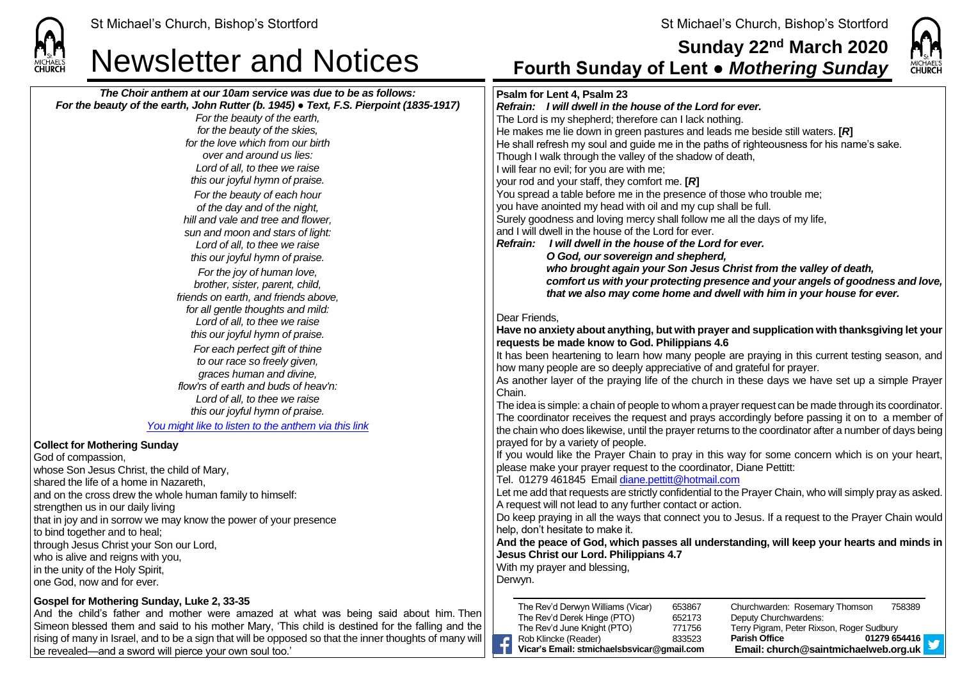

**Collect for Mothering Sunday**

strengthen us in our daily living

to bind together and to heal;

whose Son Jesus Christ, the child of Mary, shared the life of a home in Nazareth,

through Jesus Christ your Son our Lord, who is alive and reigns with you. in the unity of the Holy Spirit, one God, now and for ever.

God of compassion,



## Newsletter and Notices **Sunday 22nd March 2020 Fourth Sunday of Lent ●** *Mothering Sunday The Choir anthem at our 10am service was due to be as follows: For the beauty of the earth, John Rutter (b. 1945) ● Text, F.S. Pierpoint (1835-1917) For the beauty of the earth, for the beauty of the skies, for the love which from our birth over and around us lies: Lord of all, to thee we raise this our joyful hymn of praise. For the beauty of each hour of the day and of the night, hill and vale and tree and flower, sun and moon and stars of light: Lord of all, to thee we raise this our joyful hymn of praise. For the joy of human love, brother, sister, parent, child, friends on earth, and friends above, for all gentle thoughts and mild: Lord of all, to thee we raise this our joyful hymn of praise. For each perfect gift of thine to our race so freely given, graces human and divine, flow'rs of earth and buds of heav'n: Lord of all, to thee we raise this our joyful hymn of praise. [You might like to listen to the anthem via this link](https://www.youtube.com/watch?v=1bDoMflYErE)* and on the cross drew the whole human family to himself: that in joy and in sorrow we may know the power of your presence **Gospel for Mothering Sunday, Luke 2, 33-35 Psalm for Lent 4, Psalm 23** *Refrain:**I will dwell in the house of the Lord for ever.* The Lord is my shepherd; therefore can I lack nothing. He makes me lie down in green pastures and leads me beside still waters. **[***R***]** He shall refresh my soul and guide me in the paths of righteousness for his name's sake. Though I walk through the valley of the shadow of death, I will fear no evil; for you are with me; your rod and your staff, they comfort me. **[***R***]** You spread a table before me in the presence of those who trouble me; you have anointed my head with oil and my cup shall be full. Surely goodness and loving mercy shall follow me all the days of my life, and I will dwell in the house of the Lord for ever. *Refrain: I will dwell in the house of the Lord for ever. O God, our sovereign and shepherd, who brought again your Son Jesus Christ from the valley of death, comfort us with your protecting presence and your angels of goodness and love, that we also may come home and dwell with him in your house for ever.* Dear Friends, **Have no anxiety about anything, but with prayer and supplication with thanksgiving let your requests be made know to God. Philippians 4.6** It has been heartening to learn how many people are praying in this current testing season, and how many people are so deeply appreciative of and grateful for prayer. As another layer of the praying life of the church in these days we have set up a simple Prayer Chain. The idea is simple: a chain of people to whom a prayer request can be made through its coordinator. The coordinator receives the request and prays accordingly before passing it on to a member of the chain who does likewise, until the prayer returns to the coordinator after a number of days being prayed for by a variety of people. If you would like the Prayer Chain to pray in this way for some concern which is on your heart, please make your prayer request to the coordinator, Diane Pettitt: Tel. 01279 461845 Email [diane.pettitt@hotmail.com](mailto:diane.pettitt@hotmail.com) Let me add that requests are strictly confidential to the Prayer Chain, who will simply pray as asked. A request will not lead to any further contact or action. Do keep praying in all the ways that connect you to Jesus. If a request to the Prayer Chain would help, don't hesitate to make it. **And the peace of God, which passes all understanding, will keep your hearts and minds in Jesus Christ our Lord. Philippians 4.7** With my prayer and blessing. Derwyn. The Rev'd Derwyn Williams (Vicar) 653867 Churchwarden: Rosemary Thomson 758389

£

The Rev'd Derek Hinge (PTO) 652173 Deputy Churchwardens:

The Rev'd June Knight (PTO) 771756 Terry Pigram, Peter Rixson, Roger Sudbury Rob Klincke (Reader) 833523 **Parish Office 01279 654416 Vicar's Email: stmichaelsbsvicar@gmail.com Email: church@saintmichaelweb.org.uk**

And the child's father and mother were amazed at what was being said about him. Then Simeon blessed them and said to his mother Mary, 'This child is destined for the falling and the rising of many in Israel, and to be a sign that will be opposed so that the inner thoughts of many will be revealed—and a sword will pierce your own soul too.'